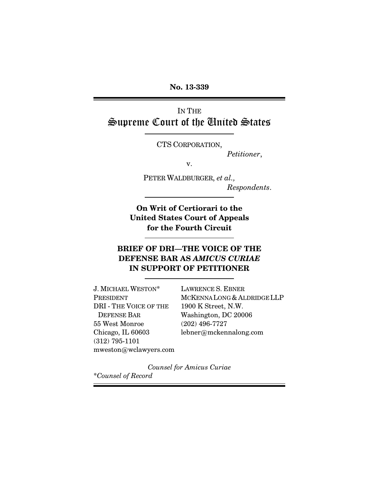**No. 13-339**

IN THE Supreme Court of the United States

CTS CORPORATION,

*Petitioner*,

v.

PETER WALDBURGER, *et al., Respondents*.

**On Writ of Certiorari to the United States Court of Appeals for the Fourth Circuit**

## **BRIEF OF DRI—THE VOICE OF THE DEFENSE BAR AS** *AMICUS CURIAE* **IN SUPPORT OF PETITIONER**

J. MICHAEL WESTON\* PRESIDENT DRI - THE VOICE OF THE DEFENSE BAR 55 West Monroe Chicago, IL 60603 (312) 795-1101 mweston@wclawyers.com LAWRENCE S. EBNER MCKENNALONG & ALDRIDGE LLP 1900 K Street, N.W. Washington, DC 20006 (202) 496-7727 lebner@mckennalong.com

*Counsel for Amicus Curiae* \**Counsel of Record*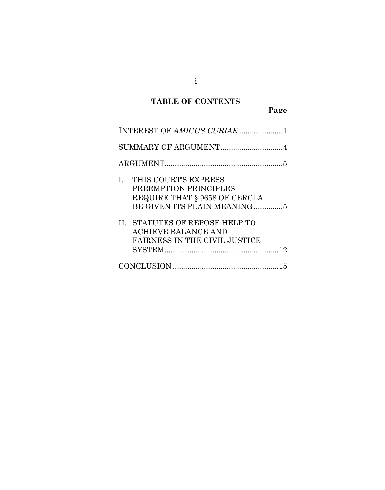# **TABLE OF CONTENTS**

**Page**

| INTEREST OF AMICUS CURIAE 1                                                                                                                                                                                                  |
|------------------------------------------------------------------------------------------------------------------------------------------------------------------------------------------------------------------------------|
| SUMMARY OF ARGUMENT4                                                                                                                                                                                                         |
|                                                                                                                                                                                                                              |
| THIS COURT'S EXPRESS<br>L.<br>PREEMPTION PRINCIPLES<br>REQUIRE THAT § 9658 OF CERCLA<br>BE GIVEN ITS PLAIN MEANING 5<br>II. STATUTES OF REPOSE HELP TO<br><b>ACHIEVE BALANCE AND</b><br><b>FAIRNESS IN THE CIVIL JUSTICE</b> |
|                                                                                                                                                                                                                              |

i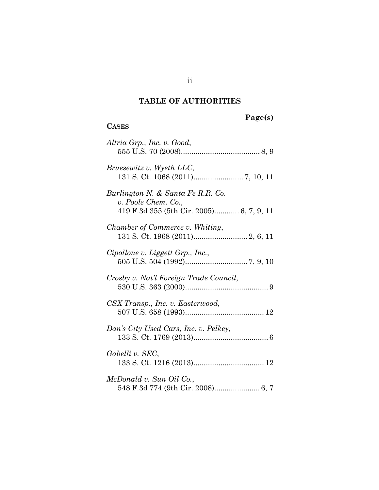# **TABLE OF AUTHORITIES**

**CASES**

# **Page(s)**

| Altria Grp., Inc. v. Good,                                                                           |
|------------------------------------------------------------------------------------------------------|
| <i>Bruesewitz v. Wyeth LLC,</i>                                                                      |
| Burlington N. & Santa Fe R.R. Co.<br>v. Poole Chem. Co.,<br>419 F.3d 355 (5th Cir. 2005) 6, 7, 9, 11 |
| Chamber of Commerce v. Whiting,                                                                      |
| Cipollone v. Liggett Grp., Inc.,                                                                     |
| Crosby v. Nat'l Foreign Trade Council,                                                               |
| CSX Transp., Inc. v. Easterwood,                                                                     |
| Dan's City Used Cars, Inc. v. Pelkey,                                                                |
| Gabelli v. SEC,                                                                                      |
| McDonald v. Sun Oil Co.,                                                                             |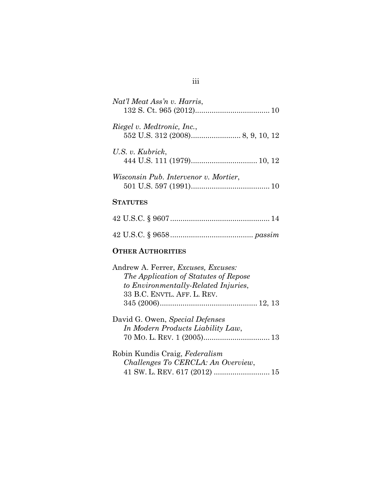| Nat'l Meat Ass'n v. Harris,           |
|---------------------------------------|
| Riegel v. Medtronic, Inc.,            |
| U.S. v. Kubrick,                      |
| Wisconsin Pub. Intervenor v. Mortier, |
| <b>STATUTES</b>                       |
|                                       |
|                                       |
| <b>OTHER AUTHORITIES</b>              |

| Andrew A. Ferrer, <i>Excuses</i> , <i>Excuses</i> : |  |
|-----------------------------------------------------|--|
| The Application of Statutes of Repose               |  |
| to Environmentally-Related Injuries,                |  |
| 33 B.C. ENVTL. AFF. L. REV.                         |  |
|                                                     |  |

| David G. Owen, Special Defenses   |  |
|-----------------------------------|--|
| In Modern Products Liability Law, |  |
|                                   |  |

Robin Kundis Craig, *Federalism Challenges To CERCLA: An Overview*, 41 SW. L. REV. 617 (2012) ................[.....](#page-18-1)...... 15

### iii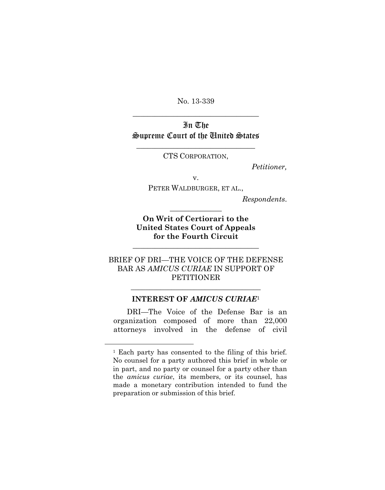No. 13-339 \_\_\_\_\_\_\_\_\_\_\_\_\_\_\_\_\_\_\_\_\_\_\_\_\_\_\_\_\_\_\_\_\_\_

## In The Supreme Court of the United States

 $\overline{\phantom{a}}$  , where  $\overline{\phantom{a}}$  , where  $\overline{\phantom{a}}$  ,  $\overline{\phantom{a}}$  ,  $\overline{\phantom{a}}$  ,  $\overline{\phantom{a}}$  ,  $\overline{\phantom{a}}$  ,  $\overline{\phantom{a}}$  ,  $\overline{\phantom{a}}$  ,  $\overline{\phantom{a}}$  ,  $\overline{\phantom{a}}$  ,  $\overline{\phantom{a}}$  ,  $\overline{\phantom{a}}$  ,  $\overline{\phantom{a}}$  ,  $\overline{\phantom{a}}$  , CTS CORPORATION,

*Petitioner,*

v.

PETER WALDBURGER, ET AL.,

*Respondents*.

**On Writ of Certiorari to the United States Court of Appeals for the Fourth Circuit**

**\_\_\_\_\_\_\_\_\_\_\_\_\_\_\_\_\_\_\_\_\_\_\_\_\_\_\_\_\_\_\_\_\_\_**

 $\overline{\phantom{a}}$  , where  $\overline{\phantom{a}}$ 

BRIEF OF DRI—THE VOICE OF THE DEFENSE BAR AS *AMICUS CURIAE* IN SUPPORT OF PETITIONER

#### <span id="page-4-0"></span>**INTEREST OF** *AMICUS CURIAE*[1](#page-4-1)

\_\_\_\_\_\_\_\_\_\_\_\_\_\_\_\_\_\_\_\_\_\_\_\_\_\_\_\_\_\_\_\_\_\_\_

DRI—The Voice of the Defense Bar is an organization composed of more than 22,000 attorneys involved in the defense of civil

<span id="page-4-1"></span><sup>1</sup> Each party has consented to the filing of this brief. No counsel for a party authored this brief in whole or in part, and no party or counsel for a party other than the *amicus curiae*, its members, or its counsel, has made a monetary contribution intended to fund the preparation or submission of this brief.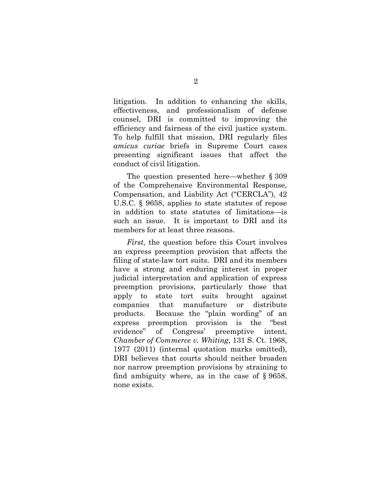litigation. In addition to enhancing the skills, effectiveness, and professionalism of defense counsel, DRI is committed to improving the efficiency and fairness of the civil justice system. To help fulfill that mission, DRI regularly files *amicus curiae* briefs in Supreme Court cases presenting significant issues that affect the conduct of civil litigation.

The question presented here—whether § 309 of the Comprehensive Environmental Response, Compensation, and Liability Act ("CERCLA"), 42 U.S.C. § 9658, applies to state statutes of repose in addition to state statutes of limitations—is such an issue. It is important to DRI and its members for at least three reasons.

*First*, the question before this Court involves an express preemption provision that affects the filing of state-law tort suits. DRI and its members have a strong and enduring interest in proper judicial interpretation and application of express preemption provisions, particularly those that apply to state tort suits brought against companies that manufacture or distribute products. Because the "plain wording" of an express preemption provision is the "best evidence" of Congress' preemptive intent, *Chamber of Commerce v. Whiting*, 131 S. Ct. 1968, 1977 (2011) (internal quotation marks omitted), DRI believes that courts should neither broaden nor narrow preemption provisions by straining to find ambiguity where, as in the case of § 9658, none exists.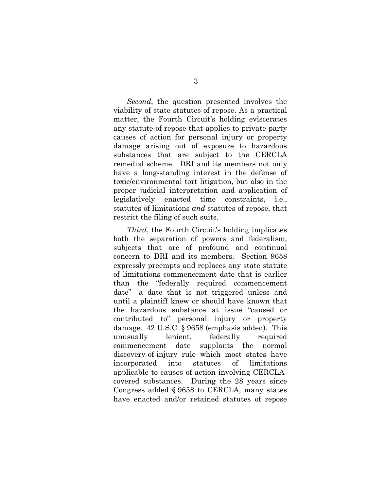*Second*, the question presented involves the viability of state statutes of repose. As a practical matter, the Fourth Circuit's holding eviscerates any statute of repose that applies to private party causes of action for personal injury or property damage arising out of exposure to hazardous substances that are subject to the CERCLA remedial scheme. DRI and its members not only have a long-standing interest in the defense of toxic/environmental tort litigation, but also in the proper judicial interpretation and application of legislatively enacted time constraints, i.e., statutes of limitations *and* statutes of repose, that restrict the filing of such suits.

*Third*, the Fourth Circuit's holding implicates both the separation of powers and federalism, subjects that are of profound and continual concern to DRI and its members. Section 9658 expressly preempts and replaces any state statute of limitations commencement date that is earlier than the "federally required commencement date"—a date that is not triggered unless and until a plaintiff knew or should have known that the hazardous substance at issue "caused or contributed to" personal injury or property damage. 42 U.S.C. § 9658 (emphasis added). This unusually lenient, federally required commencement date supplants the normal discovery-of-injury rule which most states have incorporated into statutes of limitations applicable to causes of action involving CERCLAcovered substances. During the 28 years since Congress added § 9658 to CERCLA, many states have enacted and/or retained statutes of repose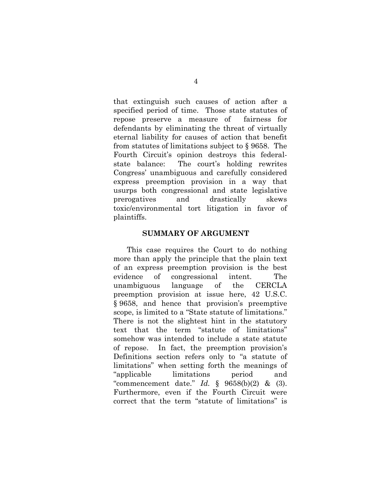that extinguish such causes of action after a specified period of time. Those state statutes of repose preserve a measure of fairness for defendants by eliminating the threat of virtually eternal liability for causes of action that benefit from statutes of limitations subject to § 9658. The Fourth Circuit's opinion destroys this federalstate balance: The court's holding rewrites Congress' unambiguous and carefully considered express preemption provision in a way that usurps both congressional and state legislative prerogatives and drastically skews toxic/environmental tort litigation in favor of plaintiffs.

#### <span id="page-7-0"></span>**SUMMARY OF ARGUMENT**

This case requires the Court to do nothing more than apply the principle that the plain text of an express preemption provision is the best evidence of congressional intent. The unambiguous language of the CERCLA preemption provision at issue here, 42 U.S.C. § 9658, and hence that provision's preemptive scope, is limited to a "State statute of limitations." There is not the slightest hint in the statutory text that the term "statute of limitations" somehow was intended to include a state statute of repose. In fact, the preemption provision's Definitions section refers only to "a statute of limitations" when setting forth the meanings of "applicable limitations period and "commencement date." *Id.* § 9658(b)(2) & (3). Furthermore, even if the Fourth Circuit were correct that the term "statute of limitations" is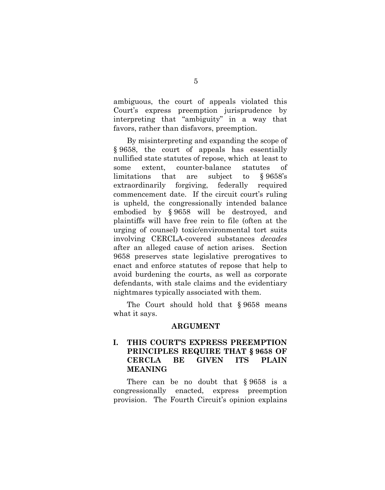ambiguous, the court of appeals violated this Court's express preemption jurisprudence by interpreting that "ambiguity" in a way that favors, rather than disfavors, preemption.

By misinterpreting and expanding the scope of § 9658, the court of appeals has essentially nullified state statutes of repose, which at least to some extent, counter-balance statutes of limitations that are subject to § 9658's extraordinarily forgiving, federally required commencement date. If the circuit court's ruling is upheld, the congressionally intended balance embodied by § 9658 will be destroyed, and plaintiffs will have free rein to file (often at the urging of counsel) toxic/environmental tort suits involving CERCLA-covered substances *decades* after an alleged cause of action arises. Section 9658 preserves state legislative prerogatives to enact and enforce statutes of repose that help to avoid burdening the courts, as well as corporate defendants, with stale claims and the evidentiary nightmares typically associated with them.

The Court should hold that § 9658 means what it says.

#### <span id="page-8-0"></span>**ARGUMENT**

### <span id="page-8-1"></span>**I. THIS COURT'S EXPRESS PREEMPTION PRINCIPLES REQUIRE THAT § 9658 OF CERCLA BE GIVEN ITS PLAIN MEANING**

There can be no doubt that § 9658 is a congressionally enacted, express preemption provision. The Fourth Circuit's opinion explains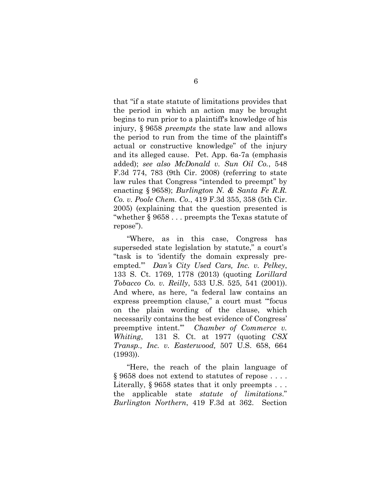<span id="page-9-3"></span>that "if a state statute of limitations provides that the period in which an action may be brought begins to run prior to a plaintiff's knowledge of his injury, § 9658 *preempts* the state law and allows the period to run from the time of the plaintiff's actual or constructive knowledge" of the injury and its alleged cause. Pet. App. 6a-7a (emphasis added); *see also McDonald v. Sun Oil Co.*, 548 F.3d 774, 783 (9th Cir. 2008) (referring to state law rules that Congress "intended to preempt" by enacting § 9658); *Burlington N. & Santa Fe R.R. Co. v. Poole Chem. Co.*, 419 F.3d 355, 358 (5th Cir. 2005) (explaining that the question presented is "whether § 9658 . . . preempts the Texas statute of repose").

<span id="page-9-2"></span><span id="page-9-0"></span>"Where, as in this case, Congress has superseded state legislation by statute," a court's "task is to 'identify the domain expressly preempted.'" *Dan's City Used Cars, Inc. v. Pelkey*, 133 S. Ct. 1769, 1778 (2013) (quoting *Lorillard Tobacco Co. v. Reilly*, 533 U.S. 525, 541 (2001)). And where, as here, "a federal law contains an express preemption clause," a court must "'focus on the plain wording of the clause, which necessarily contains the best evidence of Congress' preemptive intent.'" *Chamber of Commerce v. Whiting*, 131 S. Ct. at 1977 (quoting *CSX Transp., Inc. v. Easterwood,* 507 U.S. 658, 664 (1993)).

<span id="page-9-1"></span>"Here, the reach of the plain language of § 9658 does not extend to statutes of repose . . . . Literally, § 9658 states that it only preempts . . . the applicable state *statute of limitations*." *Burlington Northern*, 419 F.3d at 362. Section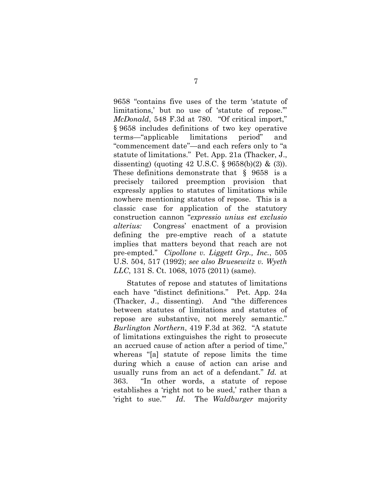<span id="page-10-2"></span>9658 "contains five uses of the term 'statute of limitations,' but no use of 'statute of repose." *McDonald*, 548 F.3d at 780. "Of critical import," § 9658 includes definitions of two key operative terms—"applicable limitations period" and "commencement date"—and each refers only to "a statute of limitations." Pet. App. 21a (Thacker, J., dissenting) (quoting  $42 \text{ U.S.C. }$ §  $9658(b)(2) \&$  (3)). These definitions demonstrate that § 9658 is a precisely tailored preemption provision that expressly applies to statutes of limitations while nowhere mentioning statutes of repose. This is a classic case for application of the statutory construction cannon "*expressio unius est exclusio alterius:* Congress' enactment of a provision defining the pre-emptive reach of a statute implies that matters beyond that reach are not pre-empted." *Cipollone v. Liggett Grp., Inc.*, 505 U.S. 504, 517 (1992); *see also Bruesewitz v. Wyeth LLC*, 131 S. Ct. 1068, 1075 (2011) (same).

<span id="page-10-1"></span><span id="page-10-0"></span>Statutes of repose and statutes of limitations each have "distinct definitions." Pet. App. 24a (Thacker, J., dissenting). And "the differences between statutes of limitations and statutes of repose are substantive, not merely semantic." *Burlington Northern*, 419 F.3d at 362. "A statute of limitations extinguishes the right to prosecute an accrued cause of action after a period of time," whereas "[a] statute of repose limits the time during which a cause of action can arise and usually runs from an act of a defendant." *Id.* at 363. "In other words, a statute of repose establishes a 'right not to be sued,' rather than a 'right to sue.'" *Id*. The *Waldburger* majority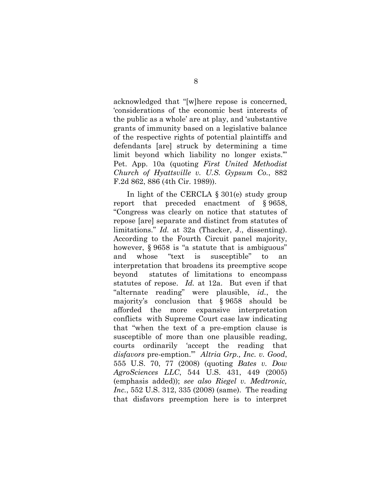acknowledged that "[w]here repose is concerned, 'considerations of the economic best interests of the public as a whole' are at play, and 'substantive grants of immunity based on a legislative balance of the respective rights of potential plaintiffs and defendants [are] struck by determining a time limit beyond which liability no longer exists.'" Pet. App. 10a (quoting *First United Methodist Church of Hyattsville v. U.S. Gypsum Co.*, 882 F.2d 862, 886 (4th Cir. 1989)).

<span id="page-11-0"></span>In light of the CERCLA § 301(e) study group report that preceded enactment of § 9658, "Congress was clearly on notice that statutes of repose [are] separate and distinct from statutes of limitations." *Id.* at 32a (Thacker, J., dissenting). According to the Fourth Circuit panel majority, however, § 9658 is "a statute that is ambiguous" and whose "text is susceptible" to interpretation that broadens its preemptive scope beyond statutes of limitations to encompass statutes of repose. *Id.* at 12a. But even if that "alternate reading" were plausible, *id.*, the majority's conclusion that § 9658 should be afforded the more expansive interpretation conflicts with Supreme Court case law indicating that "when the text of a pre-emption clause is susceptible of more than one plausible reading, courts ordinarily 'accept the reading that *disfavors* pre-emption.'" *Altria Grp., Inc. v. Good*, 555 U.S. 70, 77 (2008) (quoting *Bates v. Dow AgroSciences LLC*, 544 U.S. 431, 449 (2005) (emphasis added)); *see also Riegel v. Medtronic, Inc.*, 552 U.S. 312, 335 (2008) (same). The reading that disfavors preemption here is to interpret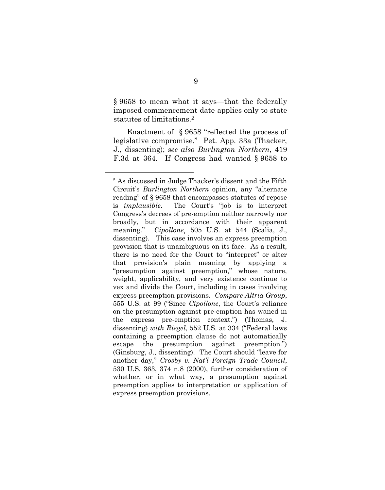§ 9658 to mean what it says—that the federally imposed commencement date applies only to state statutes of limitations.[2](#page-12-5)

<span id="page-12-0"></span>Enactment of § 9658 "reflected the process of legislative compromise." Pet. App. 33a (Thacker, J., dissenting); *see also Burlington Northern*, 419 F.3d at 364. If Congress had wanted § 9658 to

<span id="page-12-5"></span><span id="page-12-4"></span><span id="page-12-3"></span><span id="page-12-2"></span><span id="page-12-1"></span><sup>2</sup> As discussed in Judge Thacker's dissent and the Fifth Circuit's *Burlington Northern* opinion, any "alternate reading" of § 9658 that encompasses statutes of repose is *implausible*. The Court's "job is to interpret Congress's decrees of pre-emption neither narrowly nor broadly, but in accordance with their apparent meaning." *Cipollone*, 505 U.S. at 544 (Scalia, J., dissenting). This case involves an express preemption provision that is unambiguous on its face. As a result, there is no need for the Court to "interpret" or alter that provision's plain meaning by applying a "presumption against preemption," whose nature, weight, applicability, and very existence continue to vex and divide the Court, including in cases involving express preemption provisions. *Compare Altria Group*, 555 U.S. at 99 ("Since *Cipollone*, the Court's reliance on the presumption against pre-emption has waned in the express pre-emption context.") (Thomas, J. dissenting) *with Riegel*, 552 U.S. at 334 ("Federal laws containing a preemption clause do not automatically escape the presumption against preemption.") (Ginsburg, J., dissenting). The Court should "leave for another day," *Crosby v. Nat'l Foreign Trade Council*, 530 U.S. 363, 374 n.8 (2000), further consideration of whether, or in what way, a presumption against preemption applies to interpretation or application of express preemption provisions.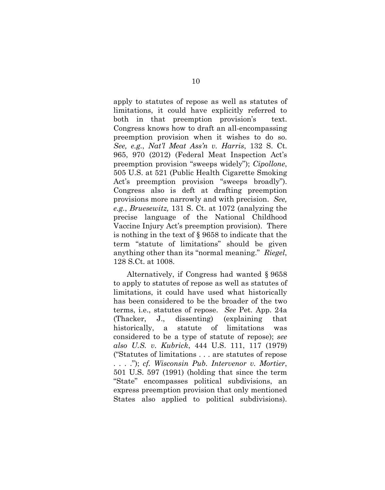<span id="page-13-0"></span>apply to statutes of repose as well as statutes of limitations, it could have explicitly referred to both in that preemption provision's text. Congress knows how to draft an all-encompassing preemption provision when it wishes to do so. *See, e.g.*, *Nat'l Meat Ass'n v. Harris*, 132 S. Ct. 965, 970 (2012) (Federal Meat Inspection Act's preemption provision "sweeps widely"); *Cipollone*, 505 U.S. at 521 (Public Health Cigarette Smoking Act's preemption provision "sweeps broadly"). Congress also is deft at drafting preemption provisions more narrowly and with precision. *See, e.g.*, *Bruesewitz,* 131 S. Ct. at 1072 (analyzing the precise language of the National Childhood Vaccine Injury Act's preemption provision). There is nothing in the text of § 9658 to indicate that the term "statute of limitations" should be given anything other than its "normal meaning." *Riegel*, 128 S.Ct. at 1008.

<span id="page-13-2"></span><span id="page-13-1"></span>Alternatively, if Congress had wanted § 9658 to apply to statutes of repose as well as statutes of limitations, it could have used what historically has been considered to be the broader of the two terms, i.e., statutes of repose. *See* Pet. App. 24a (Thacker, J., dissenting) (explaining that historically, a statute of limitations was considered to be a type of statute of repose); *see also U.S. v. Kubrick*, 444 U.S. 111, 117 (1979) ("Statutes of limitations . . . are statutes of repose . . . ."); *cf. Wisconsin Pub. Intervenor v. Mortier*, 501 U.S. 597 (1991) (holding that since the term "State" encompasses political subdivisions, an express preemption provision that only mentioned States also applied to political subdivisions).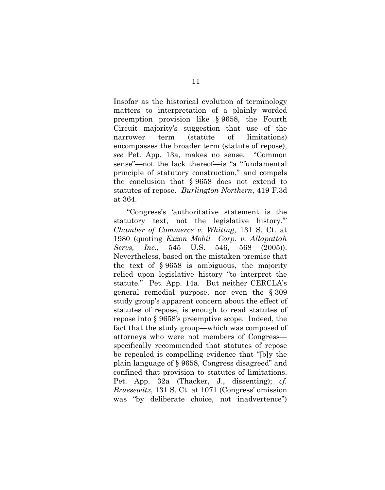Insofar as the historical evolution of terminology matters to interpretation of a plainly worded preemption provision like § 9658, the Fourth Circuit majority's suggestion that use of the narrower term (statute of limitations) encompasses the broader term (statute of repose), *see* Pet. App. 13a, makes no sense. "Common sense"—not the lack thereof—is "a "fundamental principle of statutory construction," and compels the conclusion that § 9658 does not extend to statutes of repose. *Burlington Northern*, 419 F.3d at 364.

<span id="page-14-2"></span><span id="page-14-1"></span><span id="page-14-0"></span>"Congress's 'authoritative statement is the statutory text, not the legislative history.'" *Chamber of Commerce v. Whiting*, 131 S. Ct. at 1980 (quoting *Exxon Mobil Corp. v. Allapattah Servs, Inc.*, 545 U.S. 546, 568 (2005)). Nevertheless, based on the mistaken premise that the text of § 9658 is ambiguous, the majority relied upon legislative history "to interpret the statute." Pet. App. 14a. But neither CERCLA's general remedial purpose, nor even the § 309 study group's apparent concern about the effect of statutes of repose, is enough to read statutes of repose into § 9658's preemptive scope. Indeed, the fact that the study group—which was composed of attorneys who were not members of Congress specifically recommended that statutes of repose be repealed is compelling evidence that "[b]y the plain language of § 9658, Congress disagreed" and confined that provision to statutes of limitations. Pet. App. 32a (Thacker, J., dissenting); *cf. Bruesewitz*, 131 S. Ct. at 1071 (Congress' omission was "by deliberate choice, not inadvertence")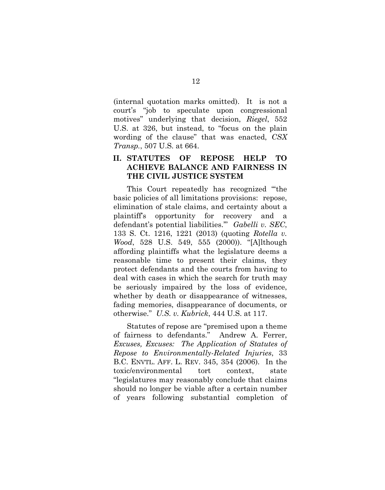<span id="page-15-3"></span>(internal quotation marks omitted). It is not a court's "job to speculate upon congressional motives" underlying that decision, *Riegel*, 552 U.S. at 326, but instead, to "focus on the plain wording of the clause" that was enacted, *CSX Transp.*, 507 U.S. at 664.

### <span id="page-15-1"></span><span id="page-15-0"></span>**II. STATUTES OF REPOSE HELP TO ACHIEVE BALANCE AND FAIRNESS IN THE CIVIL JUSTICE SYSTEM**

<span id="page-15-2"></span>This Court repeatedly has recognized "'the basic policies of all limitations provisions: repose, elimination of stale claims, and certainty about a plaintiff's opportunity for recovery and a defendant's potential liabilities.'" *Gabelli v. SEC*, 133 S. Ct. 1216, 1221 (2013) (quoting *Rotella v. Wood*, 528 U.S. 549, 555 (2000)). "[A]lthough affording plaintiffs what the legislature deems a reasonable time to present their claims, they protect defendants and the courts from having to deal with cases in which the search for truth may be seriously impaired by the loss of evidence, whether by death or disappearance of witnesses, fading memories, disappearance of documents, or otherwise." *U.S. v. Kubrick*, 444 U.S. at 117.

<span id="page-15-5"></span><span id="page-15-4"></span>Statutes of repose are "premised upon a theme of fairness to defendants." Andrew A. Ferrer, *Excuses, Excuses: The Application of Statutes of Repose to Environmentally-Related Injuries*, 33 B.C. ENVTL. AFF. L. REV. 345, 354 (2006). In the toxic/environmental tort context, state "legislatures may reasonably conclude that claims should no longer be viable after a certain number of years following substantial completion of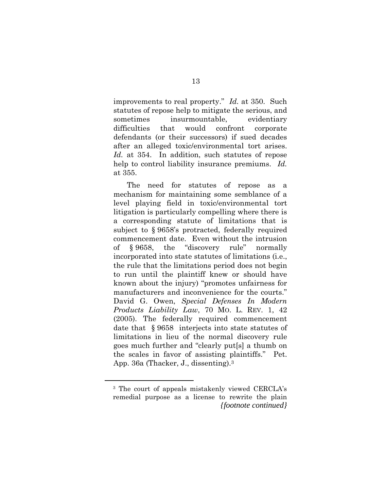improvements to real property." *Id.* at 350. Such statutes of repose help to mitigate the serious, and sometimes insurmountable, evidentiary difficulties that would confront corporate defendants (or their successors) if sued decades after an alleged toxic/environmental tort arises. *Id.* at 354. In addition, such statutes of repose help to control liability insurance premiums. *Id.* at 355.

The need for statutes of repose as a mechanism for maintaining some semblance of a level playing field in toxic/environmental tort litigation is particularly compelling where there is a corresponding statute of limitations that is subject to § 9658's protracted, federally required commencement date. Even without the intrusion of § 9658, the "discovery rule" normally incorporated into state statutes of limitations (i.e., the rule that the limitations period does not begin to run until the plaintiff knew or should have known about the injury) "promotes unfairness for manufacturers and inconvenience for the courts." David G. Owen, *Special Defenses In Modern Products Liability Law*, 70 MO. L. REV. 1, 42 (2005). The federally required commencement date that § 9658 interjects into state statutes of limitations in lieu of the normal discovery rule goes much further and "clearly put[s] a thumb on the scales in favor of assisting plaintiffs." Pet. App. 36a (Thacker, J., dissenting).[3](#page-16-2)

<span id="page-16-2"></span><span id="page-16-1"></span><span id="page-16-0"></span><sup>3</sup> The court of appeals mistakenly viewed CERCLA's remedial purpose as a license to rewrite the plain *{footnote continued}*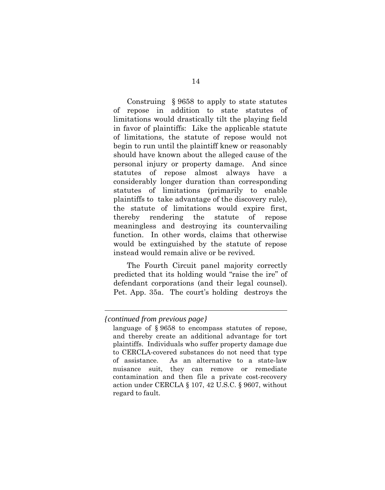Construing § 9658 to apply to state statutes of repose in addition to state statutes of limitations would drastically tilt the playing field in favor of plaintiffs: Like the applicable statute of limitations, the statute of repose would not begin to run until the plaintiff knew or reasonably should have known about the alleged cause of the personal injury or property damage. And since statutes of repose almost always have a considerably longer duration than corresponding statutes of limitations (primarily to enable plaintiffs to take advantage of the discovery rule), the statute of limitations would expire first, thereby rendering the statute of repose meaningless and destroying its countervailing function. In other words, claims that otherwise would be extinguished by the statute of repose instead would remain alive or be revived.

The Fourth Circuit panel majority correctly predicted that its holding would "raise the ire" of defendant corporations (and their legal counsel). Pet. App. 35a. The court's holding destroys the

*<sup>{</sup>continued from previous page}*

language of § 9658 to encompass statutes of repose, and thereby create an additional advantage for tort plaintiffs. Individuals who suffer property damage due to CERCLA-covered substances do not need that type of assistance. As an alternative to a state-law nuisance suit, they can remove or remediate contamination and then file a private cost-recovery action under CERCLA § 107, 42 U.S.C. § 9607, without regard to fault.